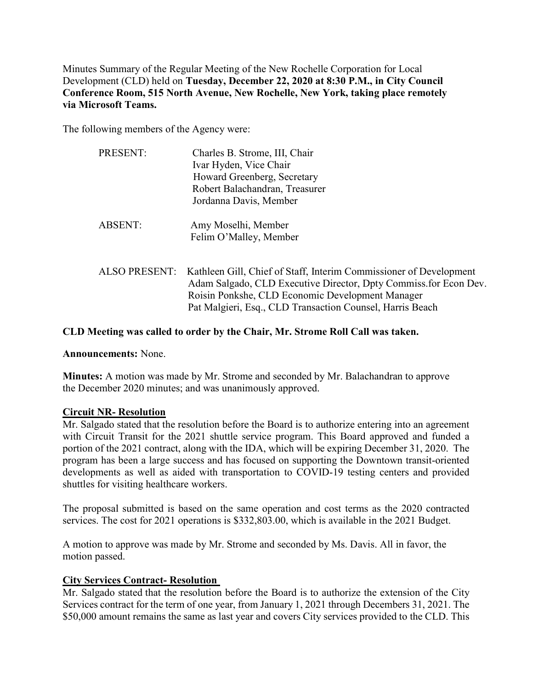Minutes Summary of the Regular Meeting of the New Rochelle Corporation for Local Development (CLD) held on Tuesday, December 22, 2020 at 8:30 P.M., in City Council Conference Room, 515 North Avenue, New Rochelle, New York, taking place remotely via Microsoft Teams.

The following members of the Agency were:

| PRESENT:             | Charles B. Strome, III, Chair<br>Ivar Hyden, Vice Chair<br>Howard Greenberg, Secretary<br>Robert Balachandran, Treasurer<br>Jordanna Davis, Member                                                                                                       |
|----------------------|----------------------------------------------------------------------------------------------------------------------------------------------------------------------------------------------------------------------------------------------------------|
| <b>ABSENT:</b>       | Amy Moselhi, Member<br>Felim O'Malley, Member                                                                                                                                                                                                            |
| <b>ALSO PRESENT:</b> | Kathleen Gill, Chief of Staff, Interim Commissioner of Development<br>Adam Salgado, CLD Executive Director, Dpty Commiss. for Econ Dev.<br>Roisin Ponkshe, CLD Economic Development Manager<br>Pat Malgieri, Esq., CLD Transaction Counsel, Harris Beach |

## CLD Meeting was called to order by the Chair, Mr. Strome Roll Call was taken.

Announcements: None.

Minutes: A motion was made by Mr. Strome and seconded by Mr. Balachandran to approve the December 2020 minutes; and was unanimously approved.

## Circuit NR- Resolution

Mr. Salgado stated that the resolution before the Board is to authorize entering into an agreement with Circuit Transit for the 2021 shuttle service program. This Board approved and funded a portion of the 2021 contract, along with the IDA, which will be expiring December 31, 2020. The program has been a large success and has focused on supporting the Downtown transit-oriented developments as well as aided with transportation to COVID-19 testing centers and provided shuttles for visiting healthcare workers.

The proposal submitted is based on the same operation and cost terms as the 2020 contracted services. The cost for 2021 operations is \$332,803.00, which is available in the 2021 Budget.

A motion to approve was made by Mr. Strome and seconded by Ms. Davis. All in favor, the motion passed.

## City Services Contract- Resolution

Mr. Salgado stated that the resolution before the Board is to authorize the extension of the City Services contract for the term of one year, from January 1, 2021 through Decembers 31, 2021. The \$50,000 amount remains the same as last year and covers City services provided to the CLD. This